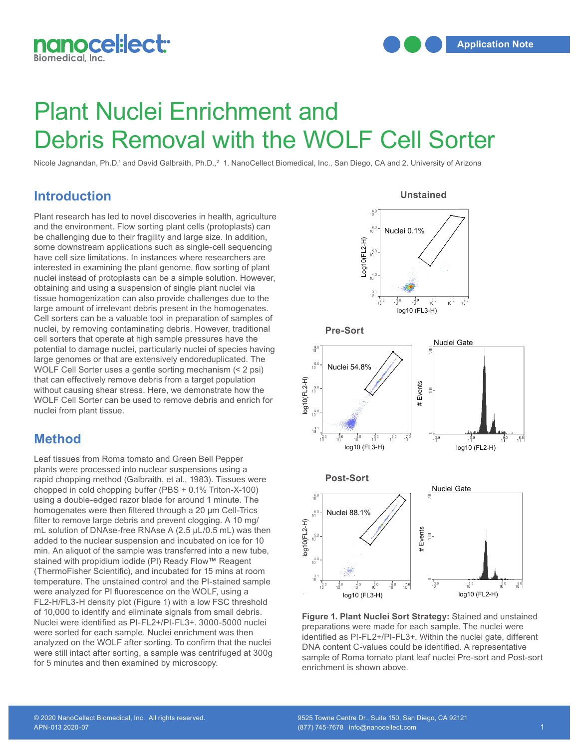

# Plant Nuclei Enrichment and Debris Removal with the WOLF Cell Sorter

Nicole Jagnandan, Ph.D.<sup>1</sup> and David Galbraith, Ph.D.,<sup>2</sup> 1. NanoCellect Biomedical, Inc., San Diego, CA and 2. University of Arizona

#### **Introduction**

Plant research has led to novel discoveries in health, agriculture and the environment. Flow sorting plant cells (protoplasts) can be challenging due to their fragility and large size. In addition, some downstream applications such as single-cell sequencing have cell size limitations. In instances where researchers are interested in examining the plant genome, flow sorting of plant nuclei instead of protoplasts can be a simple solution. However, obtaining and using a suspension of single plant nuclei via tissue homogenization can also provide challenges due to the large amount of irrelevant debris present in the homogenates. rarge amount or interevant debris present in the nomogenates.<br>Cell sorters can be a valuable tool in preparation of samples of nuclei, by removing contaminating debris. However, traditional **Pre-Sort** cell sorters that operate at high sample pressures have the cell sorters that operate at high sample pressures have the<br>potential to damage nuclei, particularly nuclei of species having large genomes or that are extensively endoreduplicated. The WOLF Cell Sorter uses a gentle sorting mechanism (< 2 psi) that can effectively remove debris from a target population without causing shear stress. Here, we demonstrate how the WOLF Cell Sorter can be used to remove debris and enrich for nuclei from plant tissue.

#### **Method**

Leaf tissues from Roma tomato and Green Bell Pepper plants were processed into nuclear suspensions using a rapid chopping method (Galbraith, et al., 1983). Tissues were **Post-Sort**  $\frac{c}{2}$ chopped in cold chopping buffer (PBS + 0.1% Triton-X-100) using a double-edged razor blade for around 1 minute. The homogenates were then filtered through a 20 μm Cell-Trics filter to remove large debris and prevent clogging. A 10 mg/ mL solution of DNAse-free RNAse A (2.5 μL/0.5 mL) was then added to the nuclear suspension and incubated on ice for 10 min. An aliquot of the sample was transferred into a new tube, stained with propidium iodide (PI) Ready Flow™ Reagent Increase with propresent locate (17) Roday Flow Fiscagont<br>(ThermoFisher Scientific), and incubated for 15 mins at room temperature. The unstained control and the PI-stained sample **1** were analyzed for PI fluorescence on the WOLF, using a FL2-H/FL3-H density plot (Figure 1) with a low FSC threshold **1** of 10,000 to identify and eliminate signals from small debris. Nuclei were identified as PI-FL2+/PI-FL3+. 3000-5000 nuclei were sorted for each sample. Nuclei enrichment was then analyzed on the WOLF after sorting. To confirm that the nuclei were still intact after sorting, a sample was centrifuged at 300g for 5 minutes and then examined by microscopy. .<br>ur<br>الما CIO<br>- ト<br>- FI<br>- F







**Figure 1. Plant Nuclei Sort Strategy:** Stained and unstained preparations were made for each sample. The nuclei were identified as PI-FL2+/PI-FL3+. Within the nuclei gate, different DNA content C-values could be identified. A representative sample of Roma tomato plant leaf nuclei Pre-sort and Post-sort enrichment is shown above.

### © 2020 NanoCellect Biomedical, Inc. All rights reserved.